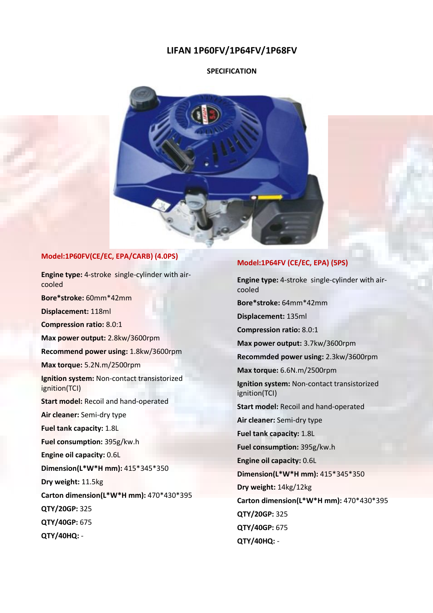# **LIFAN 1P60FV/1P64FV/1P68FV**

#### **SPECIFICATION**



# **Model:1P60FV(CE/EC, EPA/CARB) (4.0PS)**

**Engine type:** 4-stroke single-cylinder with aircooled **Bore\*stroke:** 60mm\*42mm **Displacement:** 118ml **Compression ratio:** 8.0:1 **Max power output:** 2.8kw/3600rpm **Recommend power using:** 1.8kw/3600rpm **Max torque:** 5.2N.m/2500rpm **Ignition system:** Non-contact transistorized ignition(TCI) **Start model:** Recoil and hand-operated **Air cleaner:** Semi-dry type **Fuel tank capacity:** 1.8L **Fuel consumption:** 395g/kw.h **Engine oil capacity:** 0.6L **Dimension(L\*W\*H mm):** 415\*345\*350 **Dry weight:** 11.5kg **Carton dimension(L\*W\*H mm):** 470\*430\*395 **QTY/20GP:** 325 **QTY/40GP:** 675 **QTY/40HQ:** -

## **Model:1P64FV (CE/EC, EPA) (5PS)**

**Engine type:** 4-stroke single-cylinder with aircooled **Bore\*stroke:** 64mm\*42mm **Displacement:** 135ml **Compression ratio:** 8.0:1 **Max power output:** 3.7kw/3600rpm **Recommded power using:** 2.3kw/3600rpm **Max torque:** 6.6N.m/2500rpm **Ignition system:** Non-contact transistorized ignition(TCI) **Start model:** Recoil and hand-operated **Air cleaner:** Semi-dry type **Fuel tank capacity:** 1.8L **Fuel consumption:** 395g/kw.h **Engine oil capacity:** 0.6L **Dimension(L\*W\*H mm):** 415\*345\*350 **Dry weight:** 14kg/12kg **Carton dimension(L\*W\*H mm):** 470\*430\*395 **QTY/20GP:** 325 **QTY/40GP:** 675 **QTY/40HQ:** -